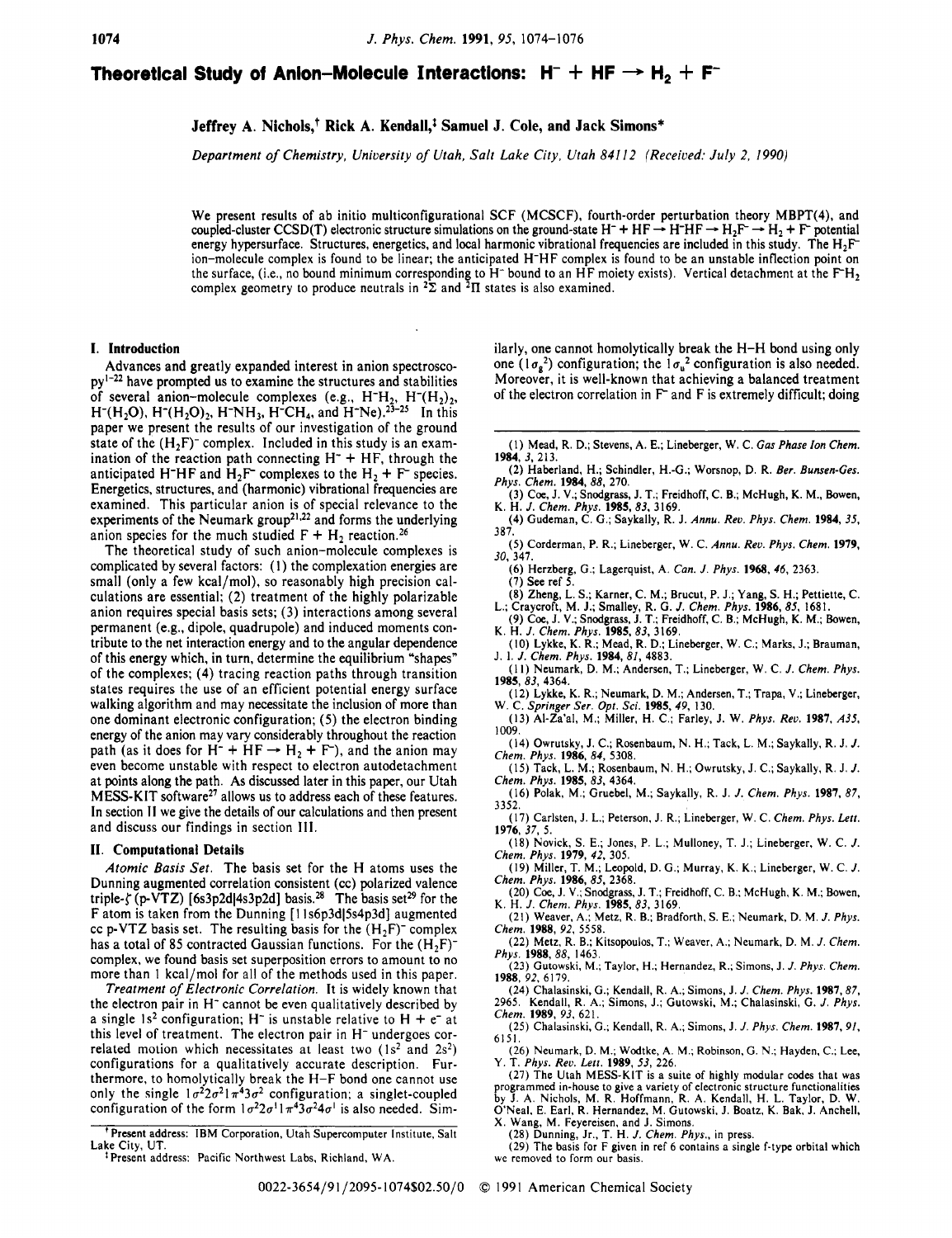# **Theoretical Study of Anion-Molecule Interactions:**  $H^- + HF \rightarrow H_2 + F^-$

# Jeffrey A. Nichols,<sup>†</sup> Rick A. Kendall,<sup>†</sup> Samuel J. Cole, and Jack Simons\*

*Department of Chemistry, University of Utah, Salt Lake City, Utah 841 12 (Received: July 2, 1990)* 

We present results of ab initio multiconfigurational SCF (MCSCF), fourth-order perturbation theory MBPT(4), and coupled-cluster CCSD(T) electronic structure simulations on the ground-state H<sup>-</sup> + HF  $\rightarrow$  H-HF  $\rightarrow$  H<sub>2</sub>F<sup>-</sup>  $\rightarrow$  H<sub>2</sub> + F<sup>-</sup> potential energy hypersurface. Structures, energetics, and local harmonic vibrational frequencies are included in this study. The  $H_2F$ ion-molecule complex is found to be linear; the anticipated H-HF complex is found to be an unstable inflection point on the surface, (i.e., no bound minimum corresponding to H<sup>-</sup> bound to an HF moiety exists). Vertical detachment at the F<sup>-</sup>H<sub>2</sub> complex geometry to produce neutrals in  $2\bar{\Sigma}$  and  $2\bar{\Pi}$  states is also examined.

### **I. Introduction**

Advances and greatly expanded interest in anion spectroscopy'-22 have prompted **us** to examine the structures and stabilities of several anion-molecule complexes (e.g.,  $H^H_2$ ,  $H^H_2(H_2)_2$ ,  $H^-(H_2O)$ ,  $H^-(H_2O)_2$ ,  $H^-NH_3$ ,  $H^-CH_4$ , and  $H^-Ne$ ).<sup>23-25</sup> In this paper we present the results of our investigation of the ground state of the  $(H_2F)$ <sup>-</sup> complex. Included in this study is an examination of the reaction path connecting  $H^+$  + HF, through the anticipated H<sup>-</sup>HF and H<sub>2</sub>F<sup>-</sup> complexes to the H<sub>2</sub> + F<sup>-</sup> species. Energetics, structures, and (harmonic) vibrational frequencies are examined. This particular anion is of special relevance to the experiments of the Neumark group<sup>21,22</sup> and forms the underlying anion species for the much studied  $F + H_2$  reaction.<sup>26</sup>

The theoretical study of such anion-molecule complexes is complicated by several factors: (I) the complexation energies are small (only a few kcal/mol), so reasonably high precision calculations are essential; (2) treatment of the highly polarizable anion requires special basis sets; (3) interactions among several permanent (e.g., dipole, quadrupole) and induced moments contribute to the net interaction energy and to the angular dependence of this energy which, in turn, determine the equilibrium "shapes" of the complexes: (4) tracing reaction paths through transition states requires the use of an efficient potential energy surface walking algorithm and may necessitate the inclusion of more than one dominant electronic configuration; **(5)** the electron binding energy of the anion may vary considerably throughout the reaction one dominant electronic configuration; (5) the electron binding<br>energy of the anion may vary considerably throughout the reaction<br>path (as it does for  $H^- + HF \rightarrow H_2 + F$ ), and the anion may even become unstable with respect to electron autodetachment at points along the path. As discussed later in this paper, our Utah MESS-KIT software2' allows **us** to address each of these features. In section **11** we give the details of our calculations and then present and discuss our findings in section **Ill.** 

## **11. Computational Details**

*Atomic Basis Set.* The basis set for the H atoms uses the Dunning augmented correlation consistent (cc) polarized valence triple- $\zeta$  (p-VTZ) [6s3p2d] 4s3p2d] basis.<sup>28</sup> The basis set<sup>29</sup> for the F atom is taken from the Dunning [11s6p3d]5s4p3d] augmented cc p-VTZ basis set. The resulting basis for the  $(H_2F)$ <sup>-</sup> complex has a total of 85 contracted Gaussian functions. For the  $(H<sub>2</sub>F)$ complex, we found basis set superposition errors to amount to no more than 1 kcal/mol for all of the methods used in this paper.

*Treatment of Electronic Correlation.* It is widely known that the electron pair in H<sup>-</sup> cannot be even qualitatively described by a single  $1s^2$  configuration; H<sup>-</sup> is unstable relative to H + e<sup>-</sup> at this level of treatment. The electron pair in  $H^-$  undergoes correlated motion which necessitates at least two (1s<sup>2</sup> and 2s<sup>2</sup>) configurations for a qualitatively accurate description. Furthermore, to homolytically break the H-F bond one cannot use only the single  $1\sigma^2 2\sigma^2 1\pi^4 3\sigma^2$  configuration; a singlet-coupled configuration of the form  $1\sigma^2 2\sigma^1 1\pi^4 3\sigma^2 4\sigma^1$  is also needed. Similarly, one cannot homolytically break the H-H bond using only one  $(1 \sigma_g^2)$  configuration; the  $1 \sigma_u^2$  configuration is also needed. Moreover, it is well-known that achieving a balanced treatment of the electron correlation in **F** and F is extremely difficult; doing

- (I) Mead, R. D.; Stevens, A. E.; Lineberger, W. C. *Gas Phase Ion Chem.*  **1984,** 3, 213.
- (2) Haberland, H.; Schindler, H.-G.; Worsnop, D. R. *Ber. Bunsen-Ges. Phys. Chem.* **1984,88,** 270.
- (3) Cce, J. **V.;** Snodgrass, J. **T.;** Freidhoff, C. B.; McHugh, K. M., Bowen, K. H. J. *Chem. Phys.* **1985,83,** 3169.
- (4) Gudeman, C. G.; Saykally, R. J. *Annu. Rev. Phys. Chem.* **1984,** 35, 387.
- *(5)* Corderman, P. R.; Lineberger, W. C. *Annu.* Reo. *Phys. Chem.* **1979,**  30, 347.
- (6) Herzberg, **G.;** Lagerquist, A. *Can.* J. Phys. **1968.** *46,* 2363. (7) See ref *5.*
- (8) Zheng, L. *S.;* Karner, C. M.; Brucut, P. J.; Yang, **S.** H.; Pettiette, C. L.; Craycroft, M. **J.;** Smalley, R. G. J. *Chem. Phys.* **1986, 85,** 1681.
- (9) Cce, J. **V.; Snodgrass,** J. **T.;** Freidhoff, C. B.; McHugh, K. M.; Bowen, K. H. J. Chem. *Phys.* **1985.83,** 3169.
- **(IO)** Lykke. K. R.; Mead, R. D.; Lineberger, W. C.; Marks, J.; Brauman, J. **1.** J. *Chem. Phys.* **1984,81,** 4883.
- (I I) Neumark, D. M.; Andersen, T.; Lineberger, W. C. J. *Chem.* Phys. **1985,83,** 4364.
- (12) Lykke, K. R.; Neumark, D. M.; Andersen, **T.;** Trapa, **V.;** Lineberger, W. C. *Springer Ser.* Opr. *Sci.* **1985, 49,** 130. (13) AI-Za'al, M.; Miller, H. C.; Farley, J. W. *Phys. Rev.* **1987,** *A35,*
- 1009. (14) Owrutsky, J. C.; Rosenbaum, N. H.; Tack, L. M.; Saykally, R. J. J.
- *Chem. Phys.* **1986, 84,** 5308. (15) Tack, L. M.; Rosenbaum, N. H.; Owrutsky, J. C.; Saykally, R. J. J.
- *Chem. Phys.* **1985,** 83,4364. (16) Polak, M.; Gruebel, M.; Saykally, R. J. J. *Chem. Phys.* **1987, 87,**
- 3352. (17) Carlsten, J. L.; Peterson, J. R.; Lineberger, W. C. *Chem. Phys. Lerr.*
- **1976,** 37, 5.
- (18) Novick, *S.* **E.;** Jones, P. L.; Mulloney, T. J.; Lineberger, W. C. *J. Chem. Phys.* **1979,** 42, 305.
- (19) Miller, **T.** M.; Leopold, D. *G.;* Murray, K. K.; Lineberger, W. C. J. *Chem. Phys.* **1986,85,** 2368.
- (20) Cce, J. **V.;** Snodgrass, J. T.; Freidhoff, C. B.: McHugh, K. M.; **Bowen,**  K. H. *J. Chem. Phys.* **1985.83,** 3 169.
- (21) Weaver, A.; Metz, R. B.; Bradforth, S. E.; Neumark, D. M. J. *Phys. Chem.* **1988,** 92, 5558.
- (22) Metz, R. B.; Kitsopoulos, T.; Weaver, A.; Neumark, D. M. J. *Chem.* Phys. 1988, 88, 1463.
- **1988.** 92.6179. (23) Gutowski, M.; Taylor, H.; Hernandez, R.; Simons, J. *J. Phys. Chem.*
- <sup>~</sup>(24)Chalasinski, G.; Kendall, R. A,; Simons, J. J. *Chem. Phys.* **1987, 87,**  2965. Kendall, R. A.; Simons, J.; Gutowski, M.; Chalasinski, *G.* J. *Phys. Chem.* **1989,** 93,621.
- (25) Chalarinski, G.; Kendall, R. A.; Simons, J. *J. Phys. Chem.* **1987,** *9/,*  6151.
- (26) Neumark, D. M.; Wodtke, A. M.; Robinson, **G.** N.; Hayden, C.; Lee, Y. T. *Phys. Reo. Leu.* **1989,** *53,* 226.
- (27) The Utah MESS-KIT is a suite of highly modular codes that was programmed in-house to give a variety of electronic structure functionalities
- by J. A. Nichols, M. R. Hoffmann, R. A. Kendall, H. L. Taylor. D. W. O'Neal, E. Earl, R. Hernandez, M. Gutowski, J. Boatz, K. Bak. J. Anchell,
- **X.** Wang, M. Feyereisen, and J. Simons.
- (28) Dunning, Jr., T. H. J. *Chem. Phys.,* in press.
- we removed to form our basis. (29) The basis for F given in ref 6 contains a single f-type orbital which

<sup>&#</sup>x27;Present address: IBM Corporation, Utah Supercomputer Institute, Salt Lake City, UT.

Present address: Pacific Northwest Labs, Richland, WA.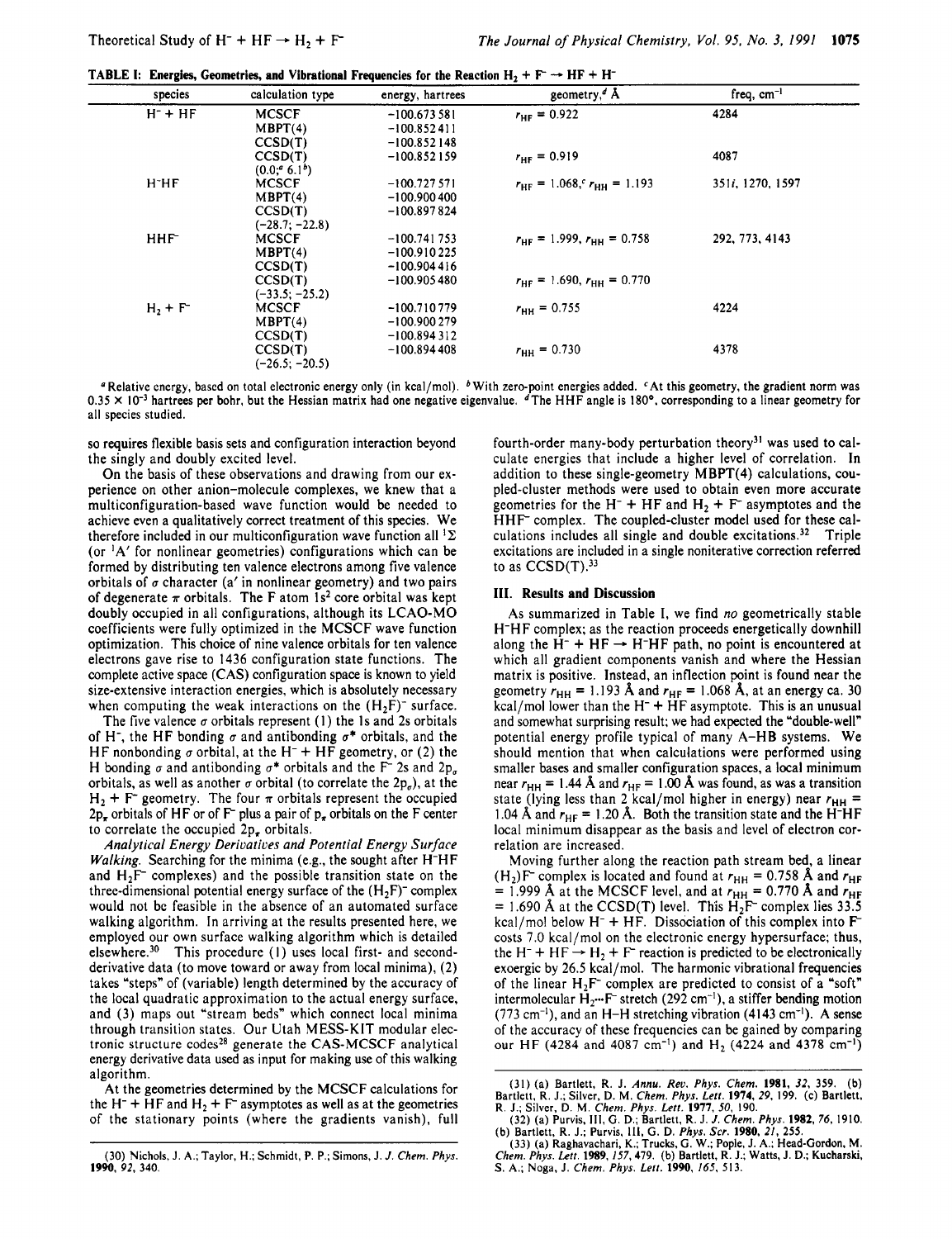**TABLE I: Energies. Geometries. and Vibrational Frequencies for the Reaction**  $H_2 + F^- \rightarrow HF + H^-$ 

| species               | calculation type | energy, hartrees | geometry, <sup><math>d</math></sup> Å          | freq, $cm^{-1}$  |  |
|-----------------------|------------------|------------------|------------------------------------------------|------------------|--|
| $H^-$ + $HF$          | <b>MCSCF</b>     | $-100.673581$    | $r_{\text{HF}} = 0.922$                        | 4284             |  |
|                       | MBPT(4)          | $-100.852411$    |                                                |                  |  |
|                       | CCSD(T)          | $-100.852148$    |                                                |                  |  |
|                       | CCSD(T)          | $-100.852159$    | $r_{HF} = 0.919$                               | 4087             |  |
|                       | (0.0, 6.1)       |                  |                                                |                  |  |
| $H$ <sup>-</sup> $HF$ | <b>MCSCF</b>     | $-100.727571$    | $r_{\text{HF}} = 1.068, r_{\text{HH}} = 1.193$ | 351i, 1270, 1597 |  |
|                       | MBPT(4)          | $-100.900400$    |                                                |                  |  |
|                       | CCSD(T)          | $-100.897824$    |                                                |                  |  |
|                       | $(-28.7, -22.8)$ |                  |                                                |                  |  |
| HHF <sup>-</sup>      | <b>MCSCF</b>     | $-100.741753$    | $r_{HF}$ = 1.999, $r_{HH}$ = 0.758             | 292, 773, 4143   |  |
|                       | MBPT(4)          | $-100.910225$    |                                                |                  |  |
|                       | CCSD(T)          | $-100.904416$    |                                                |                  |  |
|                       | CCSD(T)          | $-100.905480$    | $r_{HF}$ = 1.690, $r_{HH}$ = 0.770             |                  |  |
|                       | $(-33.5; -25.2)$ |                  |                                                |                  |  |
| $H_2 + F^-$           | <b>MCSCF</b>     | $-100.710779$    | $r_{\text{HH}} = 0.755$                        | 4224             |  |
|                       | MBPT(4)          | $-100.900279$    |                                                |                  |  |
|                       | CCSD(T)          | $-100.894312$    |                                                |                  |  |
|                       | CCSD(T)          | $-100.894408$    | $r_{\text{HH}} = 0.730$                        | 4378             |  |
|                       | $(-26.5; -20.5)$ |                  |                                                |                  |  |

<sup>a</sup> Relative energy, based on total electronic energy only (in kcal/mol). <sup>b</sup> With zero-point energies added. <sup>c</sup>At this geometry, the gradient norm was **0.35 X IO-'** hartrees **per** bohr, but the Hessian matrix had one negative eigenvalue. dThe HHF angle is **180'.** corresponding to a linear geometry for all species studied.

**so** requires flexible basis sets and configuration interaction beyond the singly and doubly excited level.

On the basis of these observations and drawing from our experience on other anion-molecule complexes, we knew that a multiconfiguration-based wave function would be needed to achieve even a qualitatively correct treatment of this species. We therefore included in our multiconfiguration wave function all  ${}^{1}\Sigma$ (or  ${}^{1}A'$  for nonlinear geometries) configurations which can be formed by distributing ten valence electrons among five valence orbitals of  $\sigma$  character (a' in nonlinear geometry) and two pairs of degenerate  $\pi$  orbitals. The F atom 1s<sup>2</sup> core orbital was kept doubly occupied in all configurations, although its LCAO-MO coefficients were fully optimized in the MCSCF wave function optimization. This choice of nine valence orbitals for ten valence electrons gave rise to 1436 configuration state functions. The complete active space (CAS) configuration space is known to yield size-extensive interaction energies, which is absolutely necessary when computing the weak interactions on the  $(H<sub>2</sub>F)<sup>-</sup>$  surface.

The five valence  $\sigma$  orbitals represent (1) the 1s and 2s orbitals of H<sup>-</sup>, the HF bonding  $\sigma$  and antibonding  $\sigma^*$  orbitals, and the HF nonbonding  $\sigma$  orbital, at the H<sup>-</sup> + HF geometry, or (2) the H bonding  $\sigma$  and antibonding  $\sigma^*$  orbitals and the F<sup>-</sup> 2s and 2p<sub> $\sigma$ </sub> orbitals, as well as another  $\sigma$  orbital (to correlate the 2p<sub> $\sigma$ </sub>), at the  $H_2$  + F<sup>-</sup> geometry. The four  $\pi$  orbitals represent the occupied  $2p_{\tau}$  orbitals of HF or of F<sup>-</sup> plus a pair of  $p_{\tau}$  orbitals on the F center to correlate the occupied  $2p<sub>r</sub>$  orbitals.

*Analytical Energy Derivatives and Potential Energy Surface Walking.* Searching for the minima (e.g., the sought after H-HF and  $H_2F^-$  complexes) and the possible transition state on the three-dimensional potential energy surface of the  $(H_2F)^-$  complex would not bc feasible in the absence of an automated surface walking algorithm. In arriving at the results presented here, we employed our own surface walking algorithm which is detailed elsewhere.30 This procedure (I) uses local first- and secondderivative data (to move toward or away from local minima), (2) takes "steps" of (variable) length determined by the accuracy of the local quadratic approximation to the actual energy surface, and (3) maps out "stream beds" which connect local minima through transition states. Our Utah MESS-KIT modular electronic structure codes<sup>28</sup> generate the CAS-MCSCF analytical energy dcrivative data used as input for making use of this walking algorithm.

At the geometries determined by the MCSCF calculations for the H<sup>-</sup> + HF and H<sub>2</sub> + F<sup>-</sup> asymptotes as well as at the geometries of the stationary points (where the gradients vanish), full

fourth-order many-body perturbation theory<sup>31</sup> was used to calculate energies that include a higher level of correlation. In addition to these single-geometry MBPT(4) calculations, coupled-cluster methods were used to obtain even more accurate geometries for the H<sup>-</sup> + HF and  $H_2$  + F<sup>-</sup> asymptotes and the HHF complex. The coupled-cluster model used for these calculations includes all single and double excitations.<sup>32</sup> Triple excitations are included in a single noniterative correction referred to as  $CCSD(T)$ .<sup>33</sup>

#### **111. Results and Discussion**

As summarized in Table **I,** we find *no* geometrically stable H-HF complex; as the reaction proceeds energetically downhill along the  $H^-$  +  $HF \rightarrow H^-HF$  path, no point is encountered at which all gradient components vanish and where the Hessian matrix is positive. Instead, an inflection point is found near the geometry  $r_{\text{HH}} = 1.193 \text{ Å}$  and  $r_{\text{HF}} = 1.068 \text{ Å}$ , at an energy ca. 30  $kcal/mol$  lower than the  $H^- + HF$  asymptote. This is an unusual and somewhat surprising result; we had expected the "double-well" potential energy profile typical of many A-HB systems. We should mention that when calculations were performed using smaller bases and smaller configuration spaces, a local minimum near  $r_{HH}$  = 1.44 Å and  $r_{HF}$  = 1.00 Å was found, as was a transition state (lying less than 2 kcal/mol higher in energy) near  $r_{HH}$  = 1.04 Å and  $r_{HF}$  = 1.20 Å. Both the transition state and the H<sup>-</sup>HF local minimum disappear as the basis and level of electron correlation are increased.

Moving further along the reaction path stream bed, a linear  $(H_2)F$  complex is located and found at  $r_{HH} = 0.758$  Å and  $r_{HF}$  $= 1.999$  Å at the MCSCF level, and at  $r_{HH} = 0.770$  Å and  $r_{HF}$  $= 1.690$  Å at the CCSD(T) level. This  $H_2F$  complex lies 33.5 kcal/mol below  $H^- + HF$ . Dissociation of this complex into  $F^$ kcal/mol below H<sup>-</sup> + HF. Dissociation of this complex into F-<br>costs 7.0 kcal/mol on the electronic energy hypersurface; thus,<br>the H<sup>-</sup> + HF  $\rightarrow$  H<sub>2</sub> + F reaction is predicted to be electronically exoergic by 26.5 kcal/mol. The harmonic vibrational frequencies of the linear  $H_2F^-$  complex are predicted to consist of a "soft" intermolecular  $H_2$ <sup>...</sup> F<sup>-</sup> stretch (292 cm<sup>-1</sup>), a stiffer bending motion  $(773 \text{ cm}^{-1})$ , and an H-H stretching vibration  $(4143 \text{ cm}^{-1})$ . A sense of the accuracy of these frequencies can be gained by comparing our **HF (4284** and **4087** cm-I) and **H2 (4224** and **4378** cm-I)

<sup>(30)</sup> Nichols, **J. A,;** Taylor. **H.;** Schmidt, P. P.; Simons, J. *J. Chem. Phys.*  **1990,** *92,* 340.

<sup>(31) (</sup>a) Bartlett, R. J. *Annu. Reu. Phys. Chem.* **1981,** *32,* 359. **(b)**  Bartlett, R. J.; Silver, D. M. *Chem. Phys. Lett.* **1974,** *29,* 199. (c) Bartlett, R. **J.;** Silver, **D.** M. *Chem. Phys. Lett.* **1977,** *50,* 190. **(32)** (a) Purvis, **Ill,** *G.* D.; Bartlett, R. J. *J. Chem. Phys.* **1982,** 76, 1910.

**<sup>(</sup>b)** Bartlett, **R.** J.; Purvis, **111,** *G.* D. *Phys. Scr.* **1980,** *21,* **2SS.** 

<sup>(33) (</sup>a) Raghavachari, **K.;** Trucks, **G. W.;** Pople, J. **A,;** Head-Gordon, M. *Chem. Phys. Lett.* **1989,** 157,479. **(b)** Bartlett, R. J.; Watts, **J. D.;** Kucharski, *S.* **A.; Noga,** J. *Chem. Phys. Lett.* **1990,** *165,* 513.